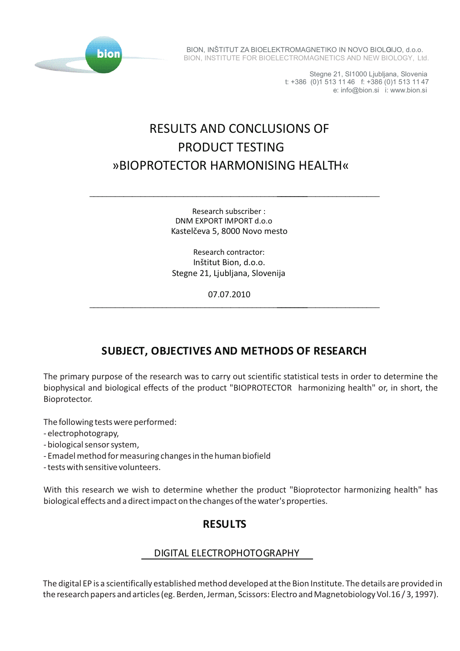

BION, INŠTITUT ZA BIOELEKTROMAGNETIKO IN NOVO BIOLOIJO, d.o.o. BION, INSTITUTE FOR BIOELECTROMAGNETICS AND NEW BIOLOGY, Ltd.

> Stegne 21, SI1000 Ljubljana, Slovenia t: +386 (0)1 513 11 46 f: +386 (0)1 513 11 47 e: info@bion.si i: www.bion.si

# RESULTS AND CONCLUSIONS OF PRODUCT TESTING »BIOPROTECTOR HARMONISING HEALTH«

Research subscriber : DNM EXPORT IMPORT d.o.o Kastelčeva 5, 8000 Novo mesto

\_\_\_\_\_\_\_\_\_\_\_\_\_\_\_\_\_\_\_\_\_\_\_\_\_\_\_\_\_\_\_\_\_\_\_\_\_\_\_\_\_\_\_\_\_\_\_\_\_\_\_\_\_\_\_\_\_\_\_\_\_\_\_\_\_\_\_\_\_\_\_\_\_\_\_

Research contractor: Inštitut Bion, d.o.o. Stegne 21, Ljubljana, Slovenija

07.07.2010

\_\_\_\_\_\_\_\_\_\_\_\_\_\_\_\_\_\_\_\_\_\_\_\_\_\_\_\_\_\_\_\_\_\_\_\_\_\_\_\_\_\_\_\_\_\_\_\_\_\_\_\_\_\_\_\_\_\_\_\_\_\_\_\_\_\_\_\_\_\_\_\_\_\_\_

# **SUBJECT, OBJECTIVES AND METHODS OF RESEARCH**

The primary purpose of the research was to carry out scientific statistical tests in order to determine the biophysical and biological effects of the product "BIOPROTECTOR harmonizing health" or, in short, the Bioprotector.

The following tests were performed:

- electrophotograpy,
- biological sensor system,
- Emadel method for measuring changes in the human biofield

- tests with sensitive volunteers.

With this research we wish to determine whether the product "Bioprotector harmonizing health" has biological effects and a direct impact on the changes of the water's properties.

## **RESULTS**

### DIGITAL ELECTROPHOTOGRAPHY

The digital EP is a scientifically established method developed at the Bion Institute. The details are provided in the research papers and articles (eg. Berden, Jerman, Scissors: Electro and Magnetobiology Vol.16 / 3, 1997).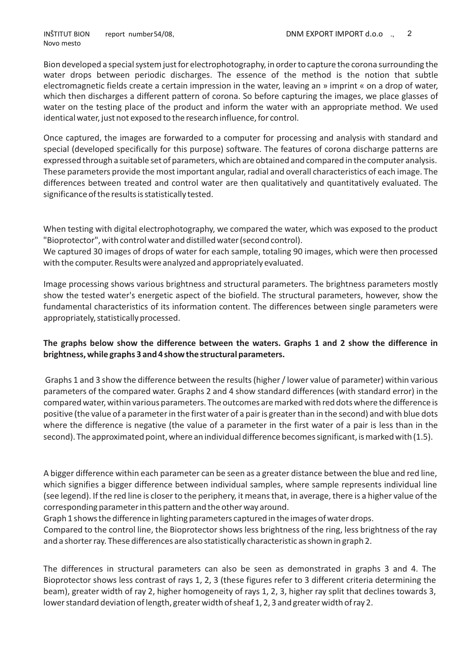Bion developed a special system just for electrophotography, in order to capture the corona surrounding the water drops between periodic discharges. The essence of the method is the notion that subtle electromagnetic fields create a certain impression in the water, leaving an » imprint « on a drop of water, which then discharges a different pattern of corona. So before capturing the images, we place glasses of water on the testing place of the product and inform the water with an appropriate method. We used identical water, just not exposed to the research influence, for control.

Once captured, the images are forwarded to a computer for processing and analysis with standard and special (developed specifically for this purpose) software. The features of corona discharge patterns are expressed through a suitable set of parameters, which are obtained and compared in the computer analysis. These parameters provide the most important angular, radial and overall characteristics of each image. The differences between treated and control water are then qualitatively and quantitatively evaluated. The significance of the results is statistically tested.

When testing with digital electrophotography, we compared the water, which was exposed to the product "Bioprotector", with control water and distilled water (second control).

We captured 30 images of drops of water for each sample, totaling 90 images, which were then processed with the computer. Results were analyzed and appropriately evaluated.

Image processing shows various brightness and structural parameters. The brightness parameters mostly show the tested water's energetic aspect of the biofield. The structural parameters, however, show the fundamental characteristics of its information content. The differences between single parameters were appropriately, statistically processed.

#### **The graphs below show the difference between the waters. Graphs 1 and 2 show the difference in brightness, while graphs 3 and 4 show the structural parameters.**

Graphs 1 and 3 show the difference between the results (higher / lower value of parameter) within various parameters of the compared water. Graphs 2 and 4 show standard differences (with standard error) in the compared water, within various parameters. The outcomes are marked with red dots where the difference is positive (the value of a parameter in the first water of a pair is greater than in the second) and with blue dots where the difference is negative (the value of a parameter in the first water of a pair is less than in the second). The approximated point, where an individual difference becomes significant, is marked with (1.5).

A bigger difference within each parameter can be seen as a greater distance between the blue and red line, which signifies a bigger difference between individual samples, where sample represents individual line (see legend). If the red line is closer to the periphery, it means that, in average, there is a higher value of the corresponding parameter in this pattern and the other way around.

Graph 1 shows the difference in lighting parameters captured in the images of water drops.

Compared to the control line, the Bioprotector shows less brightness of the ring, less brightness of the ray and a shorter ray. These differences are also statistically characteristic as shown in graph 2.

The differences in structural parameters can also be seen as demonstrated in graphs 3 and 4. The Bioprotector shows less contrast of rays 1, 2, 3 (these figures refer to 3 different criteria determining the beam), greater width of ray 2, higher homogeneity of rays 1, 2, 3, higher ray split that declines towards 3, lower standard deviation of length, greater width of sheaf 1, 2, 3 and greater width of ray 2.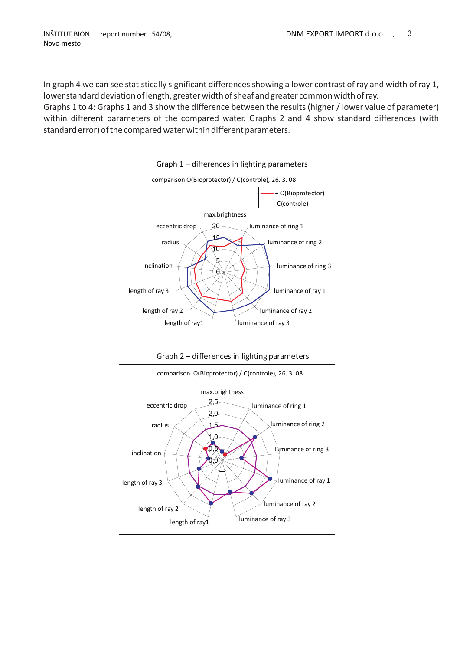In graph 4 we can see statistically significant differences showing a lower contrast of ray and width of ray 1, lower standard deviation of length, greater width of sheaf and greater common width of ray.

Graphs 1 to 4: Graphs 1 and 3 show the difference between the results (higher / lower value of parameter) within different parameters of the compared water. Graphs 2 and 4 show standard differences (with standard error) of the compared water within different parameters.



Graph 1 – differences in lighting parameters

Graph 2 – differences in lighting parameters

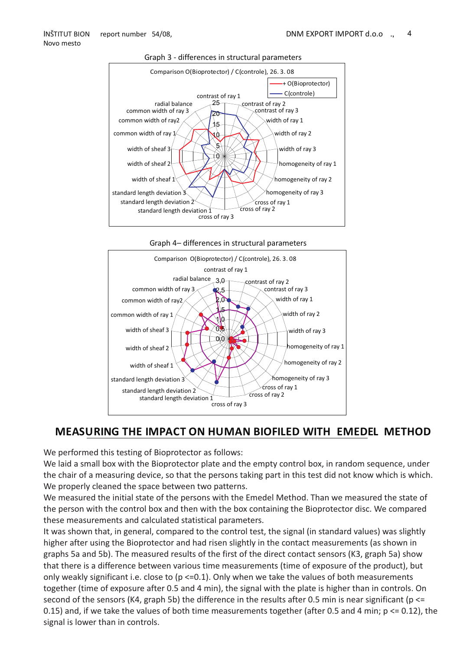

#### Graph 3 - differences in structural parameters





### **MEASURING THE IMPACT ON HUMAN BIOFILED WITH EMEDEL METHOD**

We performed this testing of Bioprotector as follows:

We laid a small box with the Bioprotector plate and the empty control box, in random sequence, under the chair of a measuring device, so that the persons taking part in this test did not know which is which. We properly cleaned the space between two patterns.

We measured the initial state of the persons with the Emedel Method. Than we measured the state of the person with the control box and then with the box containing the Bioprotector disc. We compared these measurements and calculated statistical parameters.

It was shown that, in general, compared to the control test, the signal (in standard values) was slightly higher after using the Bioprotector and had risen slightly in the contact measurements (as shown in graphs 5a and 5b). The measured results of the first of the direct contact sensors (K3, graph 5a) show that there is a difference between various time measurements (time of exposure of the product), but only weakly significant i.e. close to ( $p \le 0.1$ ). Only when we take the values of both measurements together (time of exposure after 0.5 and 4 min), the signal with the plate is higher than in controls. On second of the sensors (K4, graph 5b) the difference in the results after 0.5 min is near significant ( $p \leq$ 0.15) and, if we take the values of both time measurements together (after 0.5 and 4 min; p <= 0.12), the signal is lower than in controls.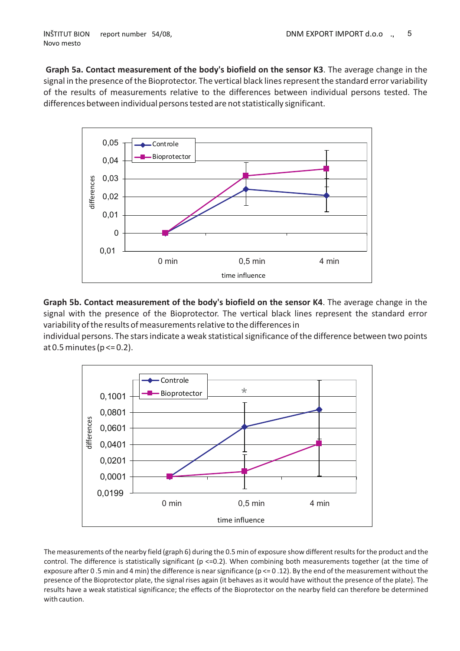**Graph 5a. Contact measurement of the body's biofield on the sensor K3**. The average change in the signal in the presence of the Bioprotector. The vertical black lines represent the standard error variability of the results of measurements relative to the differences between individual persons tested. The differences between individual persons tested are not statistically significant.



**Graph 5b. Contact measurement of the body's biofield on the sensor K4**. The average change in the signal with the presence of the Bioprotector. The vertical black lines represent the standard error variability of the results of measurements relative to the differences in

individual persons. The stars indicate a weak statistical significance of the difference between two points at 0.5 minutes ( $p \le 0.2$ ).



The measurements of the nearby field (graph 6) during the 0.5 min of exposure show different results for the product and the control. The difference is statistically significant ( $p \le 0.2$ ). When combining both measurements together (at the time of exposure after 0.5 min and 4 min) the difference is near significance ( $p \le 0.12$ ). By the end of the measurement without the presence of the Bioprotector plate, the signal rises again (it behaves as it would have without the presence of the plate). The results have a weak statistical significance; the effects of the Bioprotector on the nearby field can therefore be determined with caution.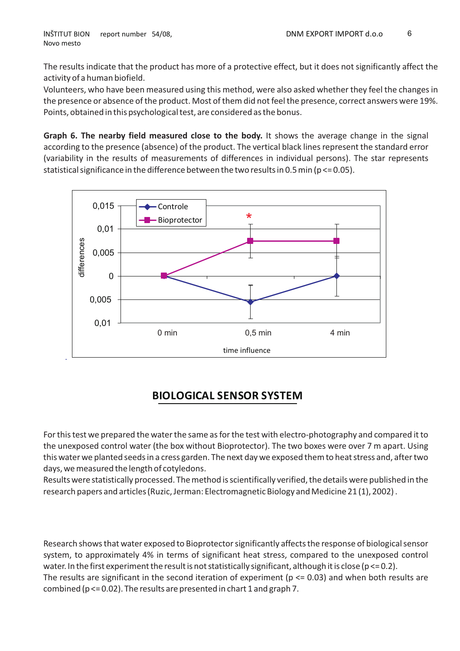The results indicate that the product has more of a protective effect, but it does not significantly affect the activity of a human biofield.

Volunteers, who have been measured using this method, were also asked whether they feel the changes in the presence or absence of the product. Most of them did not feel the presence, correct answers were 19%. Points, obtained in this psychological test, are considered as the bonus.

**Graph 6. The nearby field measured close to the body.** It shows the average change in the signal according to the presence (absence) of the product. The vertical black lines represent the standard error (variability in the results of measurements of differences in individual persons). The star represents statistical significance in the difference between the two results in 0.5 min ( $p \le 0.05$ ).



# **BIOLOGICAL SENSOR SYSTEM**

For this test we prepared the water the same as for the test with electro-photography and compared it to the unexposed control water (the box without Bioprotector). The two boxes were over 7 m apart. Using this water we planted seeds in a cress garden. The next day we exposed them to heat stress and, after two days, we measured the length of cotyledons.

Results were statistically processed. The method is scientifically verified, the details were published in the research papers and articles (Ruzic, Jerman: Electromagnetic Biology and Medicine 21 (1), 2002) .

Research shows that water exposed to Bioprotector significantly affects the response of biological sensor system, to approximately 4% in terms of significant heat stress, compared to the unexposed control water. In the first experiment the result is not statistically significant, although it is close ( $p \le 0.2$ ). The results are significant in the second iteration of experiment ( $p \le 0.03$ ) and when both results are combined (p <= 0.02). The results are presented in chart 1 and graph 7.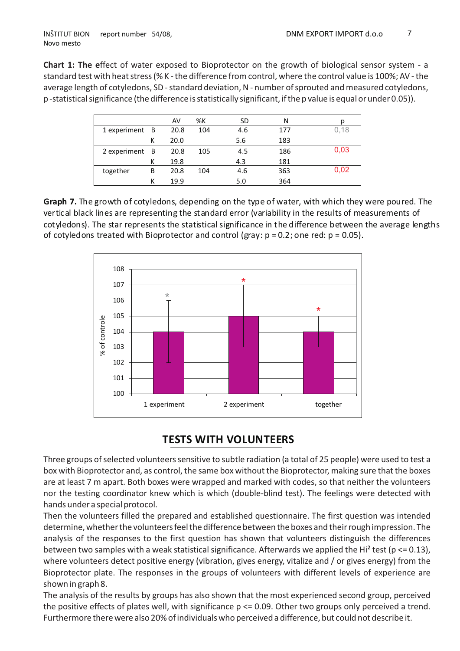**Chart 1: The e**ffect of water exposed to Bioprotector on the growth of biological sensor system - a standard test with heat stress (% K - the difference from control, where the control value is 100%; AV - the average length of cotyledons, SD - standard deviation, N - number of sprouted and measured cotyledons, p -statistical significance (the difference is statistically significant, if the p value is equal or under 0.05)).

|                |   | AV   | %K  | SD  | Ν   | n    |
|----------------|---|------|-----|-----|-----|------|
| 1 experiment B |   | 20.8 | 104 | 4.6 | 177 | 0,18 |
|                | к | 20.0 |     | 5.6 | 183 |      |
| 2 experiment B |   | 20.8 | 105 | 4.5 | 186 | 0,03 |
|                | к | 19.8 |     | 4.3 | 181 |      |
| together       | B | 20.8 | 104 | 4.6 | 363 | 0,02 |
|                |   | 19.9 |     | 5.0 | 364 |      |

**Graph 7.** The growth of cotyledons, depending on the type of water, with which they were poured. The vertical black lines are representing the standard error (variability in the results of measurements of cotyledons). The star represents the statisticalsignificance in the difference between the average lengths of cotyledons treated with Bioprotector and control (gray:  $p = 0.2$ ; one red:  $p = 0.05$ ).



## **TESTS WITH VOLUNTEERS**

Three groups of selected volunteers sensitive to subtle radiation (a total of 25 people) were used to test a box with Bioprotector and, as control, the same box without the Bioprotector, making sure that the boxes are at least 7 m apart. Both boxes were wrapped and marked with codes, so that neither the volunteers nor the testing coordinator knew which is which (double-blind test). The feelings were detected with hands under a special protocol.

Then the volunteers filled the prepared and established questionnaire. The first question was intended determine, whether the volunteers feel the difference between the boxes and their rough impression. The analysis of the responses to the first question has shown that volunteers distinguish the differences between two samples with a weak statistical significance. Afterwards we applied the Hi<sup>2</sup> test ( $p \le 0.13$ ), where volunteers detect positive energy (vibration, gives energy, vitalize and / or gives energy) from the Bioprotector plate. The responses in the groups of volunteers with different levels of experience are shown in graph 8.

The analysis of the results by groups has also shown that the most experienced second group, perceived the positive effects of plates well, with significance p <= 0.09. Other two groups only perceived a trend. Furthermore there were also 20% of individuals who perceived a difference, but could not describe it.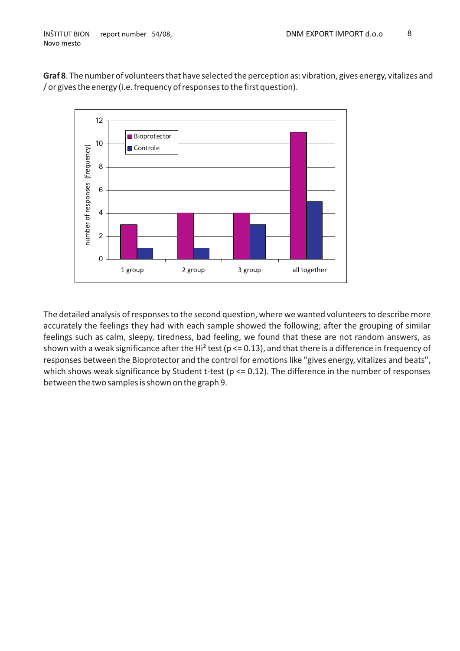



The detailed analysis of responses to the second question, where we wanted volunteers to describe more accurately the feelings they had with each sample showed the following; after the grouping of similar feelings such as calm, sleepy, tiredness, bad feeling, we found that these are not random answers, as shown with a weak significance after the Hi<sup>2</sup> test ( $p \le 0.13$ ), and that there is a difference in frequency of responses between the Bioprotector and the control for emotions like "gives energy, vitalizes and beats", which shows weak significance by Student t-test (p <= 0.12). The difference in the number of responses between the two samples is shown on the graph 9.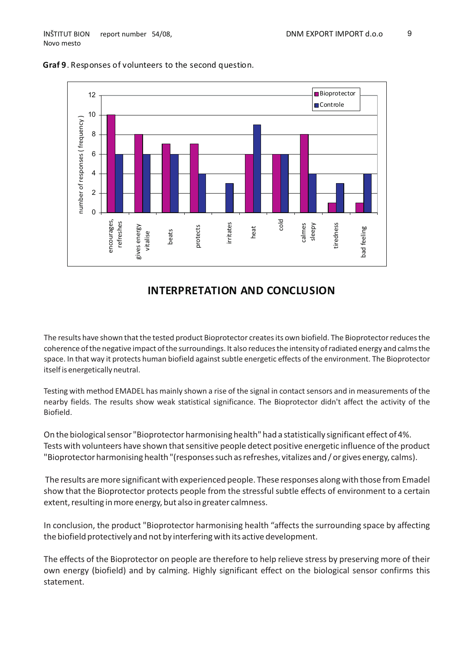

#### **Graf 9**. Responses of volunteers to the second question.

### **INTERPRETATION AND CONCLUSION**

The results have shown that the tested product Bioprotector creates its own biofield. The Bioprotector reduces the coherence of the negative impact of the surroundings. It also reduces the intensity of radiated energy and calms the space. In that way it protects human biofield against subtle energetic effects of the environment. The Bioprotector itself is energetically neutral.

Testing with method EMADEL has mainly shown a rise of the signal in contact sensors and in measurements of the nearby fields. The results show weak statistical significance. The Bioprotector didn't affect the activity of the Biofield.

On the biological sensor "Bioprotector harmonising health" had a statistically significant effect of 4%. Tests with volunteers have shown that sensitive people detect positive energetic influence of the product "Bioprotector harmonising health "(responses such as refreshes, vitalizes and / or gives energy, calms).

The results are more significant with experienced people. These responses along with those from Emadel show that the Bioprotector protects people from the stressful subtle effects of environment to a certain extent, resulting in more energy, but also in greater calmness.

In conclusion, the product "Bioprotector harmonising health "affects the surrounding space by affecting the biofield protectively and not by interfering with its active development.

The effects of the Bioprotector on people are therefore to help relieve stress by preserving more of their own energy (biofield) and by calming. Highly significant effect on the biological sensor confirms this statement.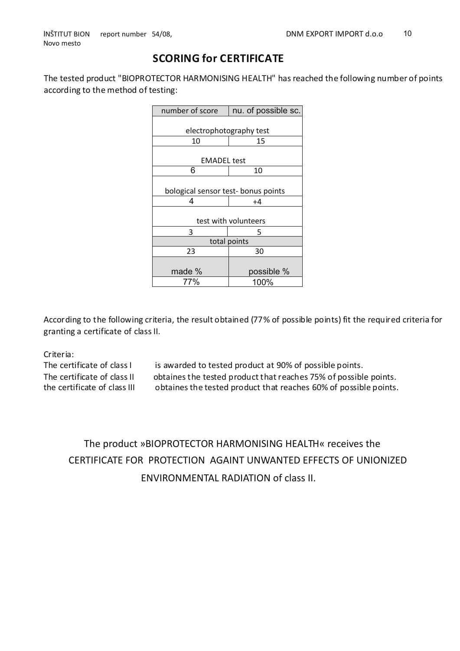# **SCORING for CERTIFICATE**

The tested product "BIOPROTECTOR HARMONISING HEALTH" hasreached the following number of points according to the method of testing:

| number of score                     | nu. of possible sc. |  |  |  |  |  |
|-------------------------------------|---------------------|--|--|--|--|--|
|                                     |                     |  |  |  |  |  |
| electrophotography test             |                     |  |  |  |  |  |
| 10                                  | 15                  |  |  |  |  |  |
|                                     |                     |  |  |  |  |  |
| <b>EMADEL</b> test                  |                     |  |  |  |  |  |
| 6                                   | 10                  |  |  |  |  |  |
|                                     |                     |  |  |  |  |  |
| bological sensor test- bonus points |                     |  |  |  |  |  |
| 4                                   | +4                  |  |  |  |  |  |
|                                     |                     |  |  |  |  |  |
| test with volunteers                |                     |  |  |  |  |  |
| 3                                   | 5                   |  |  |  |  |  |
| total points                        |                     |  |  |  |  |  |
| 23                                  | 30                  |  |  |  |  |  |
|                                     |                     |  |  |  |  |  |
| made %                              | possible %          |  |  |  |  |  |
| 77%                                 | 100%                |  |  |  |  |  |

According to the following criteria, the result obtained (77% of possible points) fit the required criteria for granting a certificate of class II.

Criteria:

The certificate of class I is awarded to tested product at 90% of possible points. The certificate of class II obtaines the tested product that reaches 75% of possible points. the certificate of class III obtaines the tested product that reaches 60% of possible points.

# The product »BIOPROTECTOR HARMONISING HEALTH« receives the CERTIFICATE FOR PROTECTION AGAINT UNWANTED EFFECTS OF UNIONIZED ENVIRONMENTAL RADIATION of class II.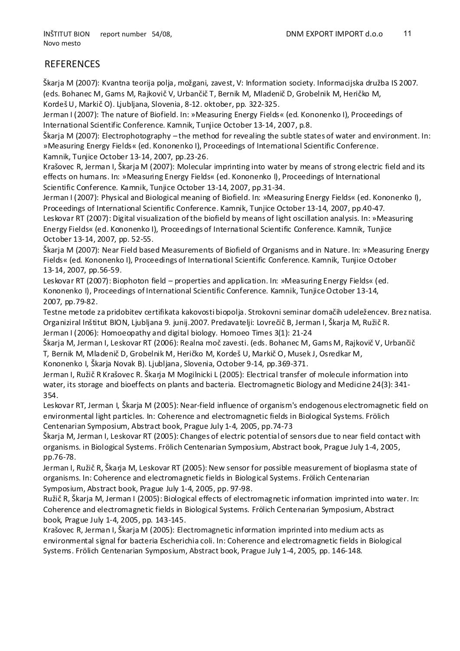#### **REFERENCES**

Škarja M (2007): Kvantna teorija polja, možgani, zavest, V: Information society. Informacijska družba IS 2007. (eds. Bohanec M, Gams M, Rajkoviè V, Urbanèiè T, Bernik M, Mladeniè D, Grobelnik M, Herièko M, KordešU, Markiè O). Ljubljana, Slovenia, 8-12. oktober, pp. 322-325.

Jerman I (2007): The nature of Biofield. In: »Measuring Energy Fields« (ed. Kononenko I), Proceedings of International Scientific Conference. Kamnik, Tunjice October 13-14, 2007, p.8.

Škarja M (2007): Electrophotography – the method for revealing the subtle states of water and environment. In: »Measuring Energy Fields« (ed. Kononenko I), Proceedings of International Scientific Conference. Kamnik, Tunjice October 13-14, 2007, pp.23-26.

Krašovec R, Jerman I, Škarja M (2007): Molecular imprinting into water by means of strong electric field and its effects on humans. In: »Measuring Energy Fields« (ed. Kononenko I), Proceedings of International Scientific Conference. Kamnik, Tunjice October 13-14, 2007, pp.31-34.

Jerman I (2007): Physical and Biological meaning of Biofield. In: »Measuring Energy Fields« (ed. Kononenko I), Proceedings of International Scientific Conference. Kamnik, Tunjice October 13-14, 2007, pp.40-47.

Leskovar RT (2007): Digital visualization ofthe biofield by means of light oscillation analysis. In: »Measuring Energy Fields« (ed. Kononenko I), Proceedings of International Scientific Conference. Kamnik, Tunjice October 13-14, 2007, pp. 52-55.

Škarja M (2007): Near Field based Measurements of Biofield of Organisms and in Nature. In: »Measuring Energy Fields« (ed. Kononenko I), Proceedings of International Scientific Conference. Kamnik, Tunjice October 13-14, 2007, pp.56-59.

Leskovar RT (2007): Biophoton field – properties and application. In: »Measuring Energy Fields« (ed. Kononenko I), Proceedings ofInternational Scientific Conference. Kamnik, TunjiceOctober 13-14, 2007, pp.79-82.

Testne metode za pridobitev certifikata kakovosti biopolja. Strokovni seminar domaèih udeležencev. Brez natisa. Organiziral Inštitut BION, Ljubljana 9. junij.2007. Predavatelji: Lovreèiè B, Jerman I, Škarja M, Ružiè R. Jerman I (2006): Homoeopathy and digital biology. Homoeo Times 3(1): 21-24

Škarja M, Jerman I, Leskovar RT (2006): Realna moè zavesti. (eds. Bohanec M, Gams M, Rajkoviè V, Urbanèiè T, Bernik M, Mladeniè D, Grobelnik M, Herièko M, Kordeš U, Markiè O, Musek J, Osredkar M,

Kononenko I, Škarja Novak B). Ljubljana, Slovenia, October 9-14, pp.369-371.

Jerman I, Ružiè R Krašovec R. Škarja M Mogilnicki L (2005): Electrical transfer of molecule information into water, its storage and bioeffects on plants and bacteria. Electromagnetic Biology and Medicine 24(3): 341- 354.

Leskovar RT, Jerman I, Škarja M (2005): Near-field influence of organism's endogenous electromagnetic field on environmental light particles. In: Coherence and electromagnetic fields in Biological Systems. Frölich Centenarian Symposium, Abstract book, Prague July 1-4, 2005, pp.74-73

Škarja M, Jerman I, Leskovar RT (2005): Changes of electric potential of sensors due to near field contact with organisms. in Biological Systems. Frölich Centenarian Symposium, Abstract book, Prague July 1-4, 2005, pp.76-78.

Jerman I, Ružiè R, Škarja M, Leskovar RT (2005): New sensor for possible measurement of bioplasma state of organisms. In: Coherence and electromagnetic fields in Biological Systems. Frölich Centenarian Symposium, Abstract book, Prague July 1-4, 2005, pp. 97-98.

Ružiè R, Škarja M, Jerman I (2005): Biological effects of electromagnetic information imprinted into water. In: Coherence and electromagnetic fields in Biological Systems. Frölich Centenarian Symposium, Abstract book, Prague July 1-4, 2005, pp. 143-145.

Krašovec R, Jerman I, Škarja M (2005): Electromagnetic information imprinted into medium acts as environmental signal for bacteria Escherichia coli. In: Coherence and electromagnetic fields in Biological Systems. Frölich Centenarian Symposium, Abstract book, Prague July 1-4, 2005, pp. 146-148.